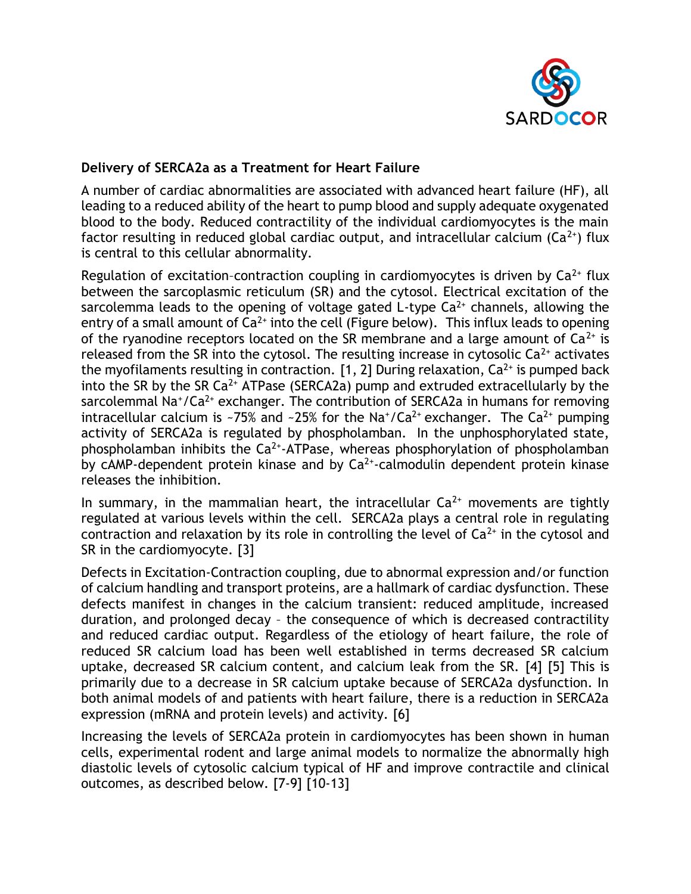

## **Delivery of SERCA2a as a Treatment for Heart Failure**

A number of cardiac abnormalities are associated with advanced heart failure (HF), all leading to a reduced ability of the heart to pump blood and supply adequate oxygenated blood to the body. Reduced contractility of the individual cardiomyocytes is the main factor resulting in reduced global cardiac output, and intracellular calcium ( $Ca^{2+}$ ) flux is central to this cellular abnormality.

Regulation of excitation-contraction coupling in cardiomyocytes is driven by  $Ca^{2+}$  flux between the sarcoplasmic reticulum (SR) and the cytosol. Electrical excitation of the sarcolemma leads to the opening of voltage gated L-type  $Ca<sup>2+</sup>$  channels, allowing the entry of a small amount of  $Ca^{2+}$  into the cell (Figure below). This influx leads to opening of the ryanodine receptors located on the SR membrane and a large amount of  $Ca^{2+}$  is released from the SR into the cytosol. The resulting increase in cytosolic  $Ca^{2+}$  activates the myofilaments resulting in contraction. [1, 2] During relaxation,  $Ca^{2+}$  is pumped back into the SR by the SR  $Ca^{2+}$  ATPase (SERCA2a) pump and extruded extracellularly by the sarcolemmal Na<sup>+</sup>/Ca<sup>2+</sup> exchanger. The contribution of SERCA2a in humans for removing intracellular calcium is ~75% and ~25% for the Na<sup>+</sup>/Ca<sup>2+</sup> exchanger. The Ca<sup>2+</sup> pumping activity of SERCA2a is regulated by phospholamban. In the unphosphorylated state, phospholamban inhibits the  $Ca^{2+}$ -ATPase, whereas phosphorylation of phospholamban by cAMP-dependent protein kinase and by  $Ca<sup>2+</sup>$ -calmodulin dependent protein kinase releases the inhibition.

In summary, in the mammalian heart, the intracellular  $Ca^{2+}$  movements are tightly regulated at various levels within the cell. SERCA2a plays a central role in regulating contraction and relaxation by its role in controlling the level of  $Ca<sup>2+</sup>$  in the cytosol and SR in the cardiomyocyte. [3]

Defects in Excitation-Contraction coupling, due to abnormal expression and/or function of calcium handling and transport proteins, are a hallmark of cardiac dysfunction. These defects manifest in changes in the calcium transient: reduced amplitude, increased duration, and prolonged decay – the consequence of which is decreased contractility and reduced cardiac output. Regardless of the etiology of heart failure, the role of reduced SR calcium load has been well established in terms decreased SR calcium uptake, decreased SR calcium content, and calcium leak from the SR. [4] [5] This is primarily due to a decrease in SR calcium uptake because of SERCA2a dysfunction. In both animal models of and patients with heart failure, there is a reduction in SERCA2a expression (mRNA and protein levels) and activity. [6]

Increasing the levels of SERCA2a protein in cardiomyocytes has been shown in human cells, experimental rodent and large animal models to normalize the abnormally high diastolic levels of cytosolic calcium typical of HF and improve contractile and clinical outcomes, as described below. [7-9] [10-13]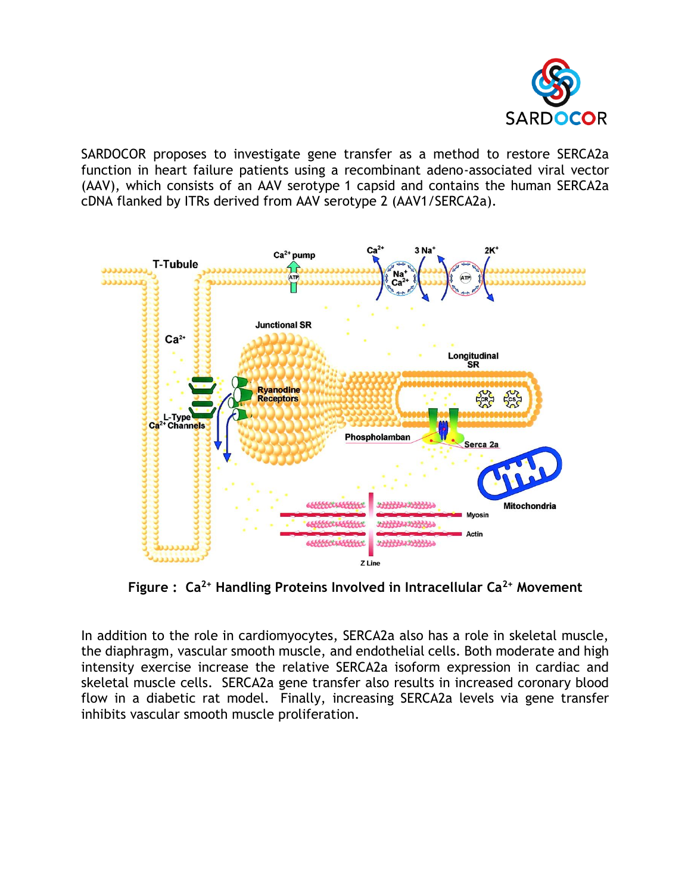

SARDOCOR proposes to investigate gene transfer as a method to restore SERCA2a function in heart failure patients using a recombinant adeno-associated viral vector (AAV), which consists of an AAV serotype 1 capsid and contains the human SERCA2a cDNA flanked by ITRs derived from AAV serotype 2 (AAV1/SERCA2a).



 **Figure : Ca2+ Handling Proteins Involved in Intracellular Ca2+ Movement**

In addition to the role in cardiomyocytes, SERCA2a also has a role in skeletal muscle, the diaphragm, vascular smooth muscle, and endothelial cells. Both moderate and high intensity exercise increase the relative SERCA2a isoform expression in cardiac and skeletal muscle cells. SERCA2a gene transfer also results in increased coronary blood flow in a diabetic rat model. Finally, increasing SERCA2a levels via gene transfer inhibits vascular smooth muscle proliferation.